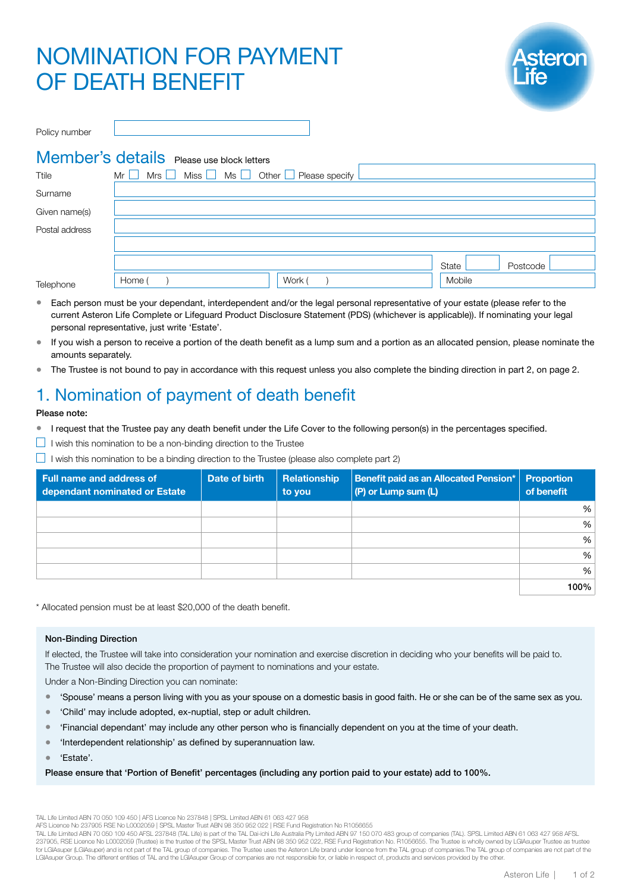# NOMINATION FOR PAYMENT OF DEATH BENEFIT



| Policy number  |                                                                                              |                   |  |
|----------------|----------------------------------------------------------------------------------------------|-------------------|--|
| Ttile          | Member's details Please use block letters<br>$Mr \tMrs$ Miss $Ms \tMss$ Other Please specify |                   |  |
| Surname        |                                                                                              |                   |  |
| Given name(s)  |                                                                                              |                   |  |
| Postal address |                                                                                              |                   |  |
|                |                                                                                              | State<br>Postcode |  |

Telephone Home ( ) Mobile Mont ( ) Work ( ) Mobile Mobile

- Each person must be your dependant, interdependent and/or the legal personal representative of your estate (please refer to the current Asteron Life Complete or Lifeguard Product Disclosure Statement (PDS) (whichever is applicable)). If nominating your legal personal representative, just write 'Estate'.
- If you wish a person to receive a portion of the death benefit as a lump sum and a portion as an allocated pension, please nominate the amounts separately.
- The Trustee is not bound to pay in accordance with this request unless you also complete the binding direction in part 2, on page 2.

# 1. Nomination of payment of death benefit

### Please note:

- I request that the Trustee pay any death benefit under the Life Cover to the following person(s) in the percentages specified.
- $\Box$  I wish this nomination to be a non-binding direction to the Trustee
- $\Box$  I wish this nomination to be a binding direction to the Trustee (please also complete part 2)

| <b>Full name and address of</b><br>dependant nominated or Estate | Date of birth | Relationship<br>to you | Benefit paid as an Allocated Pension*  <br>(P) or Lump sum (L) | <b>Proportion</b><br>of benefit |
|------------------------------------------------------------------|---------------|------------------------|----------------------------------------------------------------|---------------------------------|
|                                                                  |               |                        |                                                                | %                               |
|                                                                  |               |                        |                                                                | %                               |
|                                                                  |               |                        |                                                                | %                               |
|                                                                  |               |                        |                                                                | %                               |
|                                                                  |               |                        |                                                                | %                               |
|                                                                  |               |                        |                                                                | 100%                            |

\* Allocated pension must be at least \$20,000 of the death benefit.

### Non-Binding Direction

If elected, the Trustee will take into consideration your nomination and exercise discretion in deciding who your benefits will be paid to. The Trustee will also decide the proportion of payment to nominations and your estate.

Under a Non-Binding Direction you can nominate:

- 'Spouse' means a person living with you as your spouse on a domestic basis in good faith. He or she can be of the same sex as you.
- 'Child' may include adopted, ex-nuptial, step or adult children.
- 'Financial dependant' may include any other person who is financially dependent on you at the time of your death.
- 'Interdependent relationship' as defined by superannuation law.

• 'Estate'.

### Please ensure that 'Portion of Benefit' percentages (including any portion paid to your estate) add to 100%.

TAL Life Limited ABN 70 050 109 450 | AFS Licence No 237848 | SPSL Limited ABN 61 063 427 958

AFS Licence No 237905 RSE No L0002059 | SPSL Master Trust ABN 98 350 952 022 | RSE Fund Registration No R1056655

TAL Life Limited ABN 70 050 109 450 AFSL 237848 (TAL Life) is part of the TAL Dai-ichi Life Australia Pty Limited ABN 97 150 070 483 group of companies (TAL). SPSL Limited ABN 61 063 427 958 AFSL 237905, RSE Licence No L0002059 (Trustee) is the trustee of the SPSL Master Trust ABN 98 350 952 022, RSE Fund Registration No. R1056655. The Trustee is wholly owned by LGIAsuper Trustee as trustee for LGIAsuper II GIAsuper) and is not part of the TAL group of companies. The Trustee uses the Asteron Life brand under licence from the TAL group of companies. The TAL group of companies are not part of the LGIAsuper Group. The different entities of TAL and the LGIAsuper Group of companies are not responsible for, or liable in respect of, products and services provided by the other.